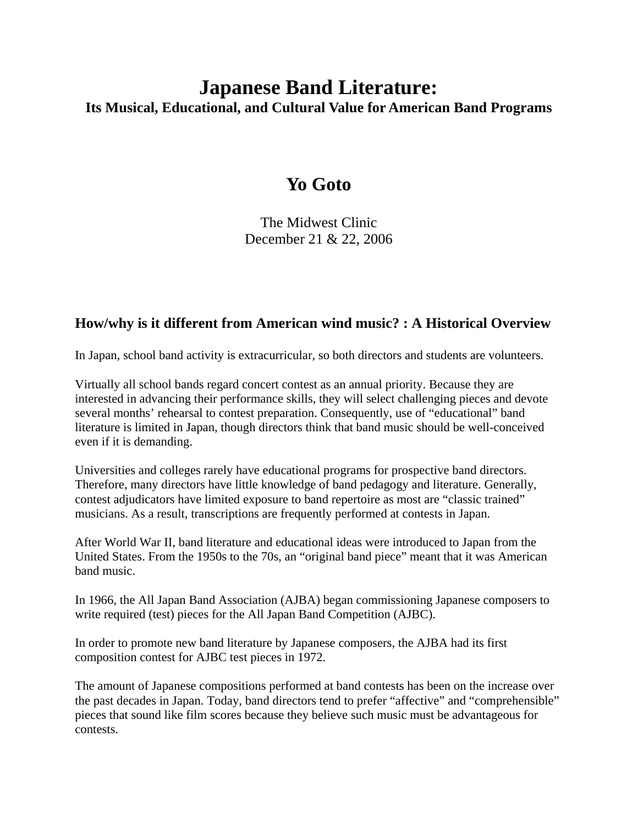# **Japanese Band Literature: Its Musical, Educational, and Cultural Value for American Band Programs**

# **Yo Goto**

The Midwest Clinic December 21 & 22, 2006

### **How/why is it different from American wind music? : A Historical Overview**

In Japan, school band activity is extracurricular, so both directors and students are volunteers.

Virtually all school bands regard concert contest as an annual priority. Because they are interested in advancing their performance skills, they will select challenging pieces and devote several months' rehearsal to contest preparation. Consequently, use of "educational" band literature is limited in Japan, though directors think that band music should be well-conceived even if it is demanding.

Universities and colleges rarely have educational programs for prospective band directors. Therefore, many directors have little knowledge of band pedagogy and literature. Generally, contest adjudicators have limited exposure to band repertoire as most are "classic trained" musicians. As a result, transcriptions are frequently performed at contests in Japan.

After World War II, band literature and educational ideas were introduced to Japan from the United States. From the 1950s to the 70s, an "original band piece" meant that it was American band music.

In 1966, the All Japan Band Association (AJBA) began commissioning Japanese composers to write required (test) pieces for the All Japan Band Competition (AJBC).

In order to promote new band literature by Japanese composers, the AJBA had its first composition contest for AJBC test pieces in 1972.

The amount of Japanese compositions performed at band contests has been on the increase over the past decades in Japan. Today, band directors tend to prefer "affective" and "comprehensible" pieces that sound like film scores because they believe such music must be advantageous for contests.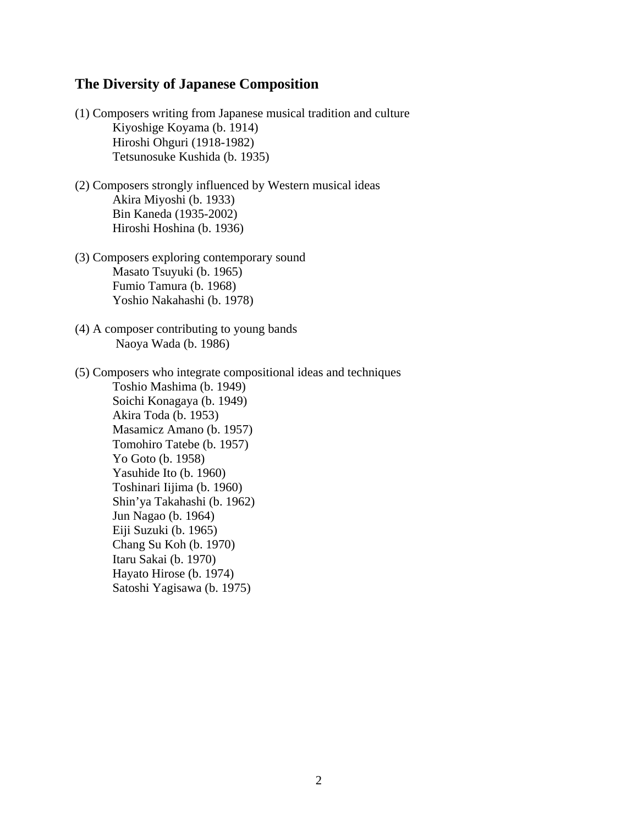#### **The Diversity of Japanese Composition**

- (1) Composers writing from Japanese musical tradition and culture Kiyoshige Koyama (b. 1914) Hiroshi Ohguri (1918-1982) Tetsunosuke Kushida (b. 1935)
- (2) Composers strongly influenced by Western musical ideas Akira Miyoshi (b. 1933) Bin Kaneda (1935-2002) Hiroshi Hoshina (b. 1936)
- (3) Composers exploring contemporary sound Masato Tsuyuki (b. 1965) Fumio Tamura (b. 1968) Yoshio Nakahashi (b. 1978)
- (4) A composer contributing to young bands Naoya Wada (b. 1986)
- (5) Composers who integrate compositional ideas and techniques Toshio Mashima (b. 1949) Soichi Konagaya (b. 1949) Akira Toda (b. 1953) Masamicz Amano (b. 1957) Tomohiro Tatebe (b. 1957) Yo Goto (b. 1958) Yasuhide Ito (b. 1960) Toshinari Iijima (b. 1960) Shin'ya Takahashi (b. 1962) Jun Nagao (b. 1964) Eiji Suzuki (b. 1965) Chang Su Koh (b. 1970) Itaru Sakai (b. 1970) Hayato Hirose (b. 1974) Satoshi Yagisawa (b. 1975)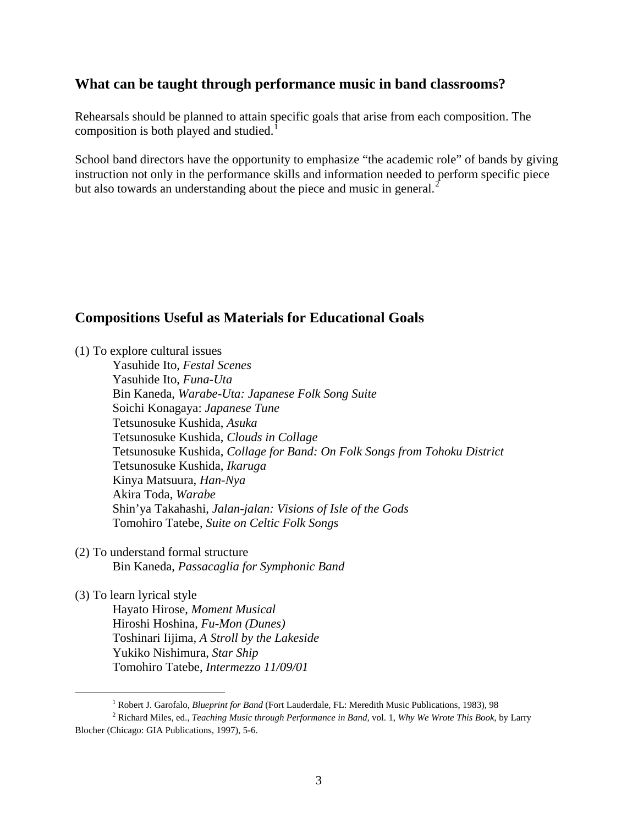#### **What can be taught through performance music in band classrooms?**

Rehearsals should be planned to attain specific goals that arise from each composition. The composition is both played and studied.<sup>[1](#page-2-0)</sup>

School band directors have the opportunity to emphasize "the academic role" of bands by giving instruction not only in the performance skills and information needed to perform specific piece but also towards an understanding about the piece and music in general.<sup>[2](#page-2-1)</sup>

### **Compositions Useful as Materials for Educational Goals**

(1) To explore cultural issues

Yasuhide Ito, *Festal Scenes* Yasuhide Ito, *Funa-Uta* Bin Kaneda, *Warabe-Uta: Japanese Folk Song Suite* Soichi Konagaya: *Japanese Tune* Tetsunosuke Kushida, *Asuka* Tetsunosuke Kushida, *Clouds in Collage* Tetsunosuke Kushida, *Collage for Band: On Folk Songs from Tohoku District* Tetsunosuke Kushida, *Ikaruga* Kinya Matsuura, *Han-Nya* Akira Toda, *Warabe* Shin'ya Takahashi, *Jalan-jalan: Visions of Isle of the Gods* Tomohiro Tatebe, *Suite on Celtic Folk Songs* 

(2) To understand formal structure Bin Kaneda, *Passacaglia for Symphonic Band*

(3) To learn lyrical style Hayato Hirose, *Moment Musical* Hiroshi Hoshina, *Fu-Mon (Dunes)*  Toshinari Iijima, *A Stroll by the Lakeside* Yukiko Nishimura, *Star Ship* Tomohiro Tatebe, *Intermezzo 11/09/01* 

<sup>&</sup>lt;u>1</u> <sup>1</sup> Robert J. Garofalo, *Blueprint for Band* (Fort Lauderdale, FL: Meredith Music Publications, 1983), 98

<span id="page-2-1"></span><span id="page-2-0"></span>Richard Miles, ed., *Teaching Music through Performance in Band,* vol. 1, *Why We Wrote This Book,* by Larry Blocher (Chicago: GIA Publications, 1997), 5-6.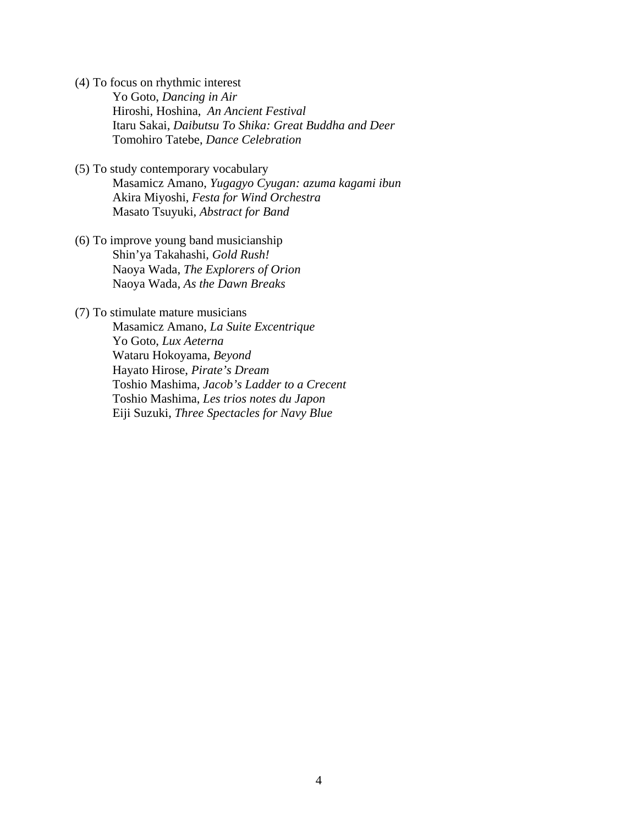- (4) To focus on rhythmic interest Yo Goto, *Dancing in Air*  Hiroshi, Hoshina, *An Ancient Festival*  Itaru Sakai, *Daibutsu To Shika: Great Buddha and Deer* Tomohiro Tatebe, *Dance Celebration*
- (5) To study contemporary vocabulary Masamicz Amano, *Yugagyo Cyugan: azuma kagami ibun* Akira Miyoshi, *Festa for Wind Orchestra* Masato Tsuyuki, *Abstract for Band*
- (6) To improve young band musicianship Shin'ya Takahashi, *Gold Rush!* Naoya Wada, *The Explorers of Orion* Naoya Wada, *As the Dawn Breaks*
- (7) To stimulate mature musicians

Masamicz Amano, *La Suite Excentrique* Yo Goto, *Lux Aeterna*  Wataru Hokoyama, *Beyond* Hayato Hirose, *Pirate's Dream*  Toshio Mashima, *Jacob's Ladder to a Crecent* Toshio Mashima, *Les trios notes du Japon* Eiji Suzuki, *Three Spectacles for Navy Blue*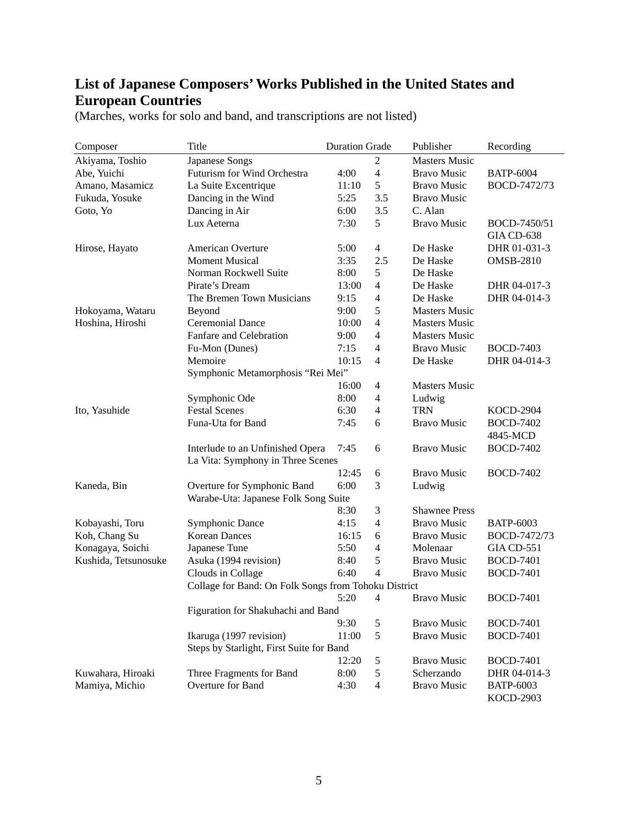## **List of Japanese Composers' Works Published in the United States and European Countries**

| Composer                             | Title                                                | <b>Duration Grade</b> |               | Publisher            | Recording         |  |  |  |
|--------------------------------------|------------------------------------------------------|-----------------------|---------------|----------------------|-------------------|--|--|--|
| Akiyama, Toshio                      | Japanese Songs                                       |                       | 2             | <b>Masters Music</b> |                   |  |  |  |
| Abe, Yuichi                          | Futurism for Wind Orchestra                          | 4:00                  | 4             | <b>Bravo Music</b>   | <b>BATP-6004</b>  |  |  |  |
| Amano, Masamicz                      | La Suite Excentrique                                 | 11:10                 | 5             | <b>Bravo Music</b>   | BOCD-7472/73      |  |  |  |
| Fukuda, Yosuke                       | Dancing in the Wind                                  | 5:25                  | 3.5           | <b>Bravo Music</b>   |                   |  |  |  |
| Goto, Yo                             | Dancing in Air                                       | 6:00                  | 3.5           | C. Alan              |                   |  |  |  |
|                                      | Lux Aeterna                                          | 7:30                  | 5             | <b>Bravo Music</b>   | BOCD-7450/51      |  |  |  |
|                                      |                                                      |                       |               |                      | <b>GIA CD-638</b> |  |  |  |
| Hirose, Hayato                       | American Overture                                    | 5:00                  | 4             | De Haske             | DHR 01-031-3      |  |  |  |
|                                      | <b>Moment Musical</b>                                | 3:35                  | 2.5           | De Haske             | <b>OMSB-2810</b>  |  |  |  |
|                                      | Norman Rockwell Suite                                | 8:00                  | 5             | De Haske             |                   |  |  |  |
|                                      | Pirate's Dream                                       | 13:00                 | 4             | De Haske             | DHR 04-017-3      |  |  |  |
|                                      | The Bremen Town Musicians                            | 9:15                  | 4             | De Haske             | DHR 04-014-3      |  |  |  |
| Hokoyama, Wataru                     | Beyond                                               | 9:00                  | 5             | <b>Masters Music</b> |                   |  |  |  |
| Hoshina, Hiroshi                     | <b>Ceremonial Dance</b>                              | 10:00                 | 4             | <b>Masters Music</b> |                   |  |  |  |
|                                      | Fanfare and Celebration                              | 9:00                  | 4             | <b>Masters Music</b> |                   |  |  |  |
|                                      | Fu-Mon (Dunes)                                       | 7:15                  | 4             | <b>Bravo Music</b>   | <b>BOCD-7403</b>  |  |  |  |
|                                      | Memoire                                              | 10:15                 | 4             | De Haske             | DHR 04-014-3      |  |  |  |
|                                      | Symphonic Metamorphosis "Rei Mei"                    |                       |               |                      |                   |  |  |  |
|                                      |                                                      | 16:00                 | 4             | <b>Masters Music</b> |                   |  |  |  |
|                                      | Symphonic Ode                                        | 8:00                  | 4             | Ludwig               |                   |  |  |  |
| Ito, Yasuhide                        | <b>Festal Scenes</b>                                 | 6:30                  | 4             | <b>TRN</b>           | <b>KOCD-2904</b>  |  |  |  |
|                                      | Funa-Uta for Band                                    | 7:45                  | 6             | <b>Bravo Music</b>   | <b>BOCD-7402</b>  |  |  |  |
|                                      |                                                      |                       |               |                      | 4845-MCD          |  |  |  |
|                                      | Interlude to an Unfinished Opera                     | 7:45                  | 6             | <b>Bravo Music</b>   | <b>BOCD-7402</b>  |  |  |  |
|                                      | La Vita: Symphony in Three Scenes                    |                       |               |                      |                   |  |  |  |
|                                      |                                                      | 12:45                 | 6             | <b>Bravo Music</b>   | <b>BOCD-7402</b>  |  |  |  |
| Kaneda, Bin                          | Overture for Symphonic Band                          | 6:00                  | 3             | Ludwig               |                   |  |  |  |
| Warabe-Uta: Japanese Folk Song Suite |                                                      |                       |               |                      |                   |  |  |  |
|                                      |                                                      | 8:30                  | 3             | <b>Shawnee Press</b> |                   |  |  |  |
| Kobayashi, Toru                      | Symphonic Dance                                      | 4:15                  | 4             | <b>Bravo Music</b>   | <b>BATP-6003</b>  |  |  |  |
| Koh, Chang Su                        | <b>Korean Dances</b>                                 | 16:15                 | 6             | <b>Bravo Music</b>   | BOCD-7472/73      |  |  |  |
| Konagaya, Soichi                     | Japanese Tune                                        | 5:50                  | 4             | Molenaar             | <b>GIA CD-551</b> |  |  |  |
| Kushida, Tetsunosuke                 | Asuka (1994 revision)                                | 8:40                  | 5             | <b>Bravo Music</b>   | <b>BOCD-7401</b>  |  |  |  |
|                                      | Clouds in Collage                                    | 6:40                  | 4             | <b>Bravo Music</b>   | <b>BOCD-7401</b>  |  |  |  |
|                                      | Collage for Band: On Folk Songs from Tohoku District |                       |               |                      |                   |  |  |  |
|                                      |                                                      | 5:20                  | 4             | <b>Bravo Music</b>   | <b>BOCD-7401</b>  |  |  |  |
|                                      | Figuration for Shakuhachi and Band                   |                       |               |                      |                   |  |  |  |
|                                      |                                                      | 9:30                  | 5             | <b>Bravo Music</b>   | <b>BOCD-7401</b>  |  |  |  |
|                                      | Ikaruga (1997 revision)                              | 11:00                 | 5             | <b>Bravo Music</b>   | <b>BOCD-7401</b>  |  |  |  |
|                                      | Steps by Starlight, First Suite for Band             |                       |               |                      |                   |  |  |  |
|                                      |                                                      | 12:20                 | 5             | <b>Bravo Music</b>   | <b>BOCD-7401</b>  |  |  |  |
| Kuwahara, Hiroaki                    | Three Fragments for Band                             | 8:00                  | $\mathfrak s$ | Scherzando           | DHR 04-014-3      |  |  |  |
| Mamiya, Michio                       | Overture for Band                                    | 4:30                  | 4             | <b>Bravo Music</b>   | <b>BATP-6003</b>  |  |  |  |
|                                      |                                                      |                       |               |                      | KOCD-2903         |  |  |  |

(Marches, works for solo and band, and transcriptions are not listed)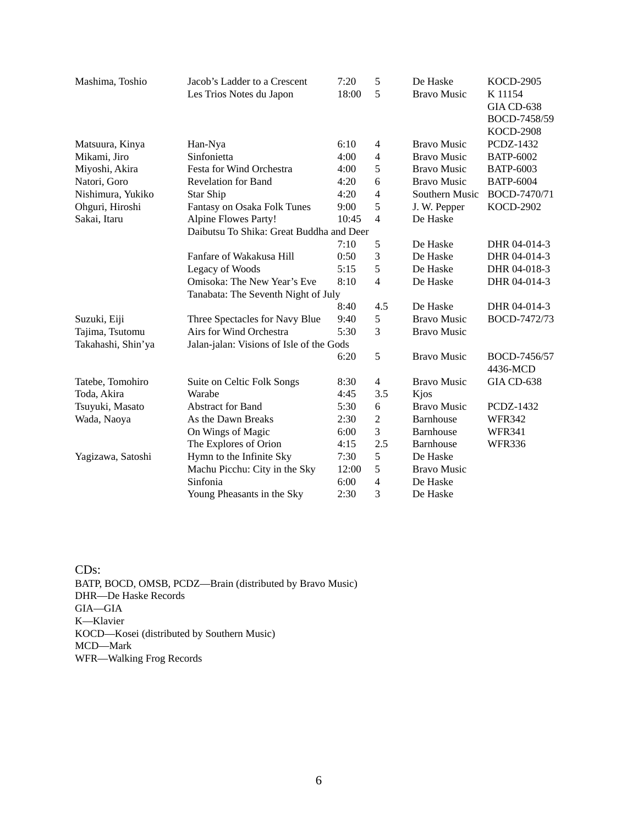| Mashima, Toshio    | Jacob's Ladder to a Crescent             | 7:20                                | 5              | De Haske           | <b>KOCD-2905</b> |  |  |  |
|--------------------|------------------------------------------|-------------------------------------|----------------|--------------------|------------------|--|--|--|
|                    | Les Trios Notes du Japon                 | 18:00                               | 5              | <b>Bravo Music</b> | K 11154          |  |  |  |
|                    |                                          |                                     |                |                    | GIA CD-638       |  |  |  |
|                    |                                          |                                     |                |                    | BOCD-7458/59     |  |  |  |
|                    |                                          |                                     |                |                    | <b>KOCD-2908</b> |  |  |  |
| Matsuura, Kinya    | Han-Nya                                  | 6:10                                | $\overline{4}$ | <b>Bravo Music</b> | <b>PCDZ-1432</b> |  |  |  |
| Mikami, Jiro       | Sinfonietta                              | 4:00                                | $\overline{4}$ | <b>Bravo Music</b> | <b>BATP-6002</b> |  |  |  |
| Miyoshi, Akira     | Festa for Wind Orchestra                 | 4:00                                | 5              | <b>Bravo Music</b> | <b>BATP-6003</b> |  |  |  |
| Natori, Goro       | <b>Revelation for Band</b>               | 4:20                                | 6              | <b>Bravo Music</b> | <b>BATP-6004</b> |  |  |  |
| Nishimura, Yukiko  | Star Ship                                | 4:20                                | $\overline{4}$ | Southern Music     | BOCD-7470/71     |  |  |  |
| Ohguri, Hiroshi    | Fantasy on Osaka Folk Tunes              | 9:00                                | 5              | J. W. Pepper       | <b>KOCD-2902</b> |  |  |  |
| Sakai, Itaru       | Alpine Flowes Party!                     | 10:45                               | $\overline{4}$ | De Haske           |                  |  |  |  |
|                    | Daibutsu To Shika: Great Buddha and Deer |                                     |                |                    |                  |  |  |  |
|                    |                                          | 7:10                                | 5              | De Haske           | DHR 04-014-3     |  |  |  |
|                    | Fanfare of Wakakusa Hill                 | 0:50                                | 3              | De Haske           | DHR 04-014-3     |  |  |  |
|                    | Legacy of Woods                          | 5:15                                | 5              | De Haske           | DHR 04-018-3     |  |  |  |
|                    | Omisoka: The New Year's Eve              | 8:10                                | $\overline{4}$ | De Haske           | DHR 04-014-3     |  |  |  |
|                    |                                          | Tanabata: The Seventh Night of July |                |                    |                  |  |  |  |
|                    |                                          | 8:40                                | 4.5            | De Haske           | DHR 04-014-3     |  |  |  |
| Suzuki, Eiji       | Three Spectacles for Navy Blue           | 9:40                                | 5              | <b>Bravo Music</b> | BOCD-7472/73     |  |  |  |
| Tajima, Tsutomu    | Airs for Wind Orchestra                  | 5:30                                | 3              | <b>Bravo Music</b> |                  |  |  |  |
| Takahashi, Shin'ya | Jalan-jalan: Visions of Isle of the Gods |                                     |                |                    |                  |  |  |  |
|                    |                                          | 6:20                                | 5              | <b>Bravo Music</b> | BOCD-7456/57     |  |  |  |
|                    |                                          |                                     |                |                    | 4436-MCD         |  |  |  |
| Tatebe, Tomohiro   | Suite on Celtic Folk Songs               | 8:30                                | 4              | <b>Bravo Music</b> | GIA CD-638       |  |  |  |
| Toda, Akira        | Warabe                                   | 4:45                                | 3.5            | Kjos               |                  |  |  |  |
| Tsuyuki, Masato    | <b>Abstract for Band</b>                 | 5:30                                | 6              | <b>Bravo Music</b> | <b>PCDZ-1432</b> |  |  |  |
| Wada, Naoya        | As the Dawn Breaks                       | 2:30                                | $\overline{2}$ | Barnhouse          | <b>WFR342</b>    |  |  |  |
|                    | On Wings of Magic                        | 6:00                                | 3              | Barnhouse          | <b>WFR341</b>    |  |  |  |
|                    | The Explores of Orion                    | 4:15                                | 2.5            | Barnhouse          | <b>WFR336</b>    |  |  |  |
| Yagizawa, Satoshi  | Hymn to the Infinite Sky                 | 7:30                                | 5              | De Haske           |                  |  |  |  |
|                    | Machu Picchu: City in the Sky            | 12:00                               | 5              | <b>Bravo Music</b> |                  |  |  |  |
|                    | Sinfonia                                 | 6:00                                | $\overline{4}$ | De Haske           |                  |  |  |  |
|                    | Young Pheasants in the Sky               | 2:30                                | 3              | De Haske           |                  |  |  |  |
|                    |                                          |                                     |                |                    |                  |  |  |  |

CDs: BATP, BOCD, OMSB, PCDZ—Brain (distributed by Bravo Music) DHR—De Haske Records GIA—GIA K—Klavier KOCD—Kosei (distributed by Southern Music) MCD—Mark WFR—Walking Frog Records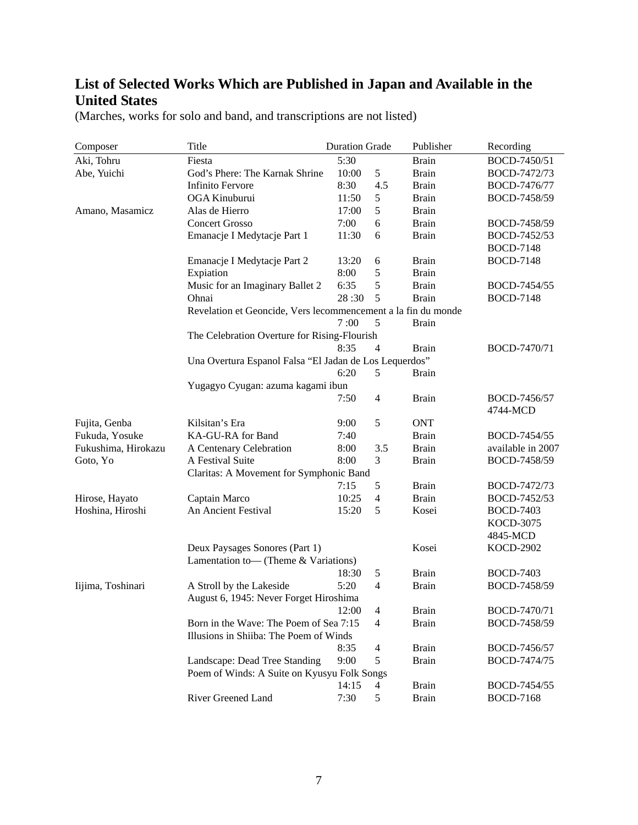## **List of Selected Works Which are Published in Japan and Available in the United States**

| Composer            | Title                                                         | <b>Duration Grade</b> |                | Publisher    | Recording         |  |  |  |
|---------------------|---------------------------------------------------------------|-----------------------|----------------|--------------|-------------------|--|--|--|
| Aki, Tohru          | Fiesta                                                        | 5:30                  |                | <b>Brain</b> | BOCD-7450/51      |  |  |  |
| Abe, Yuichi         | God's Phere: The Karnak Shrine                                | 10:00                 | 5              | <b>Brain</b> | BOCD-7472/73      |  |  |  |
|                     | <b>Infinito Fervore</b>                                       | 8:30                  | 4.5            | <b>Brain</b> | BOCD-7476/77      |  |  |  |
|                     | OGA Kinuburui                                                 | 11:50                 | 5              | <b>Brain</b> | BOCD-7458/59      |  |  |  |
| Amano, Masamicz     | Alas de Hierro                                                | 17:00                 | 5              | <b>Brain</b> |                   |  |  |  |
|                     | <b>Concert Grosso</b>                                         | 7:00                  | 6              | <b>Brain</b> | BOCD-7458/59      |  |  |  |
|                     | Emanacje I Medytacje Part 1                                   | 11:30                 | 6              | <b>Brain</b> | BOCD-7452/53      |  |  |  |
|                     |                                                               |                       |                |              | <b>BOCD-7148</b>  |  |  |  |
|                     | Emanacje I Medytacje Part 2                                   | 13:20                 | 6              | <b>Brain</b> | <b>BOCD-7148</b>  |  |  |  |
|                     | Expiation                                                     | 8:00                  | 5              | <b>Brain</b> |                   |  |  |  |
|                     | Music for an Imaginary Ballet 2                               | 6:35                  | 5              | <b>Brain</b> | BOCD-7454/55      |  |  |  |
|                     | Ohnai                                                         | 28:30                 | 5              | <b>Brain</b> | <b>BOCD-7148</b>  |  |  |  |
|                     | Revelation et Geoncide, Vers lecommencement a la fin du monde |                       |                |              |                   |  |  |  |
|                     |                                                               | 7:00                  | 5              | <b>Brain</b> |                   |  |  |  |
|                     | The Celebration Overture for Rising-Flourish                  |                       |                |              |                   |  |  |  |
|                     |                                                               | 8:35                  | $\overline{4}$ | <b>Brain</b> | BOCD-7470/71      |  |  |  |
|                     | Una Overtura Espanol Falsa "El Jadan de Los Lequerdos"        |                       |                |              |                   |  |  |  |
|                     |                                                               | 6:20                  | 5              | <b>Brain</b> |                   |  |  |  |
|                     | Yugagyo Cyugan: azuma kagami ibun                             |                       |                |              |                   |  |  |  |
|                     |                                                               | 7:50                  | 4              | <b>Brain</b> | BOCD-7456/57      |  |  |  |
|                     |                                                               |                       |                |              | 4744-MCD          |  |  |  |
| Fujita, Genba       | Kilsitan's Era                                                | 9:00                  | 5              | <b>ONT</b>   |                   |  |  |  |
| Fukuda, Yosuke      | KA-GU-RA for Band                                             | 7:40                  |                | <b>Brain</b> | BOCD-7454/55      |  |  |  |
| Fukushima, Hirokazu | A Centenary Celebration                                       | 8:00                  | 3.5            | <b>Brain</b> | available in 2007 |  |  |  |
| Goto, Yo            | A Festival Suite                                              | 8:00                  | 3              | <b>Brain</b> | BOCD-7458/59      |  |  |  |
|                     | Claritas: A Movement for Symphonic Band                       |                       |                |              |                   |  |  |  |
|                     |                                                               | 7:15                  | 5              | <b>Brain</b> | BOCD-7472/73      |  |  |  |
| Hirose, Hayato      | Captain Marco                                                 | 10:25                 | 4              | <b>Brain</b> | BOCD-7452/53      |  |  |  |
| Hoshina, Hiroshi    | An Ancient Festival                                           | 15:20                 | 5              | Kosei        | <b>BOCD-7403</b>  |  |  |  |
|                     |                                                               |                       |                |              | KOCD-3075         |  |  |  |
|                     |                                                               |                       |                |              | 4845-MCD          |  |  |  |
|                     | Deux Paysages Sonores (Part 1)                                |                       |                | Kosei        | <b>KOCD-2902</b>  |  |  |  |
|                     | Lamentation to— (Theme & Variations)                          |                       |                |              |                   |  |  |  |
|                     |                                                               | 18:30                 | 5              | <b>Brain</b> | <b>BOCD-7403</b>  |  |  |  |
| Iijima, Toshinari   | A Stroll by the Lakeside                                      | 5:20                  | $\overline{4}$ | <b>Brain</b> | BOCD-7458/59      |  |  |  |
|                     | August 6, 1945: Never Forget Hiroshima                        |                       |                |              |                   |  |  |  |
|                     |                                                               | 12:00                 | $\overline{4}$ | <b>Brain</b> | BOCD-7470/71      |  |  |  |
|                     | Born in the Wave: The Poem of Sea 7:15                        |                       | 4              | <b>Brain</b> | BOCD-7458/59      |  |  |  |
|                     | Illusions in Shiiba: The Poem of Winds                        |                       |                |              |                   |  |  |  |
|                     |                                                               | 8:35                  | $\overline{4}$ | <b>Brain</b> | BOCD-7456/57      |  |  |  |
|                     | Landscape: Dead Tree Standing                                 | 9:00                  | 5              | <b>Brain</b> | BOCD-7474/75      |  |  |  |
|                     | Poem of Winds: A Suite on Kyusyu Folk Songs                   |                       |                |              |                   |  |  |  |
|                     |                                                               | 14:15                 | $\overline{4}$ | <b>Brain</b> | BOCD-7454/55      |  |  |  |
|                     | River Greened Land                                            | 7:30                  | $\mathfrak s$  | <b>Brain</b> | <b>BOCD-7168</b>  |  |  |  |

(Marches, works for solo and band, and transcriptions are not listed)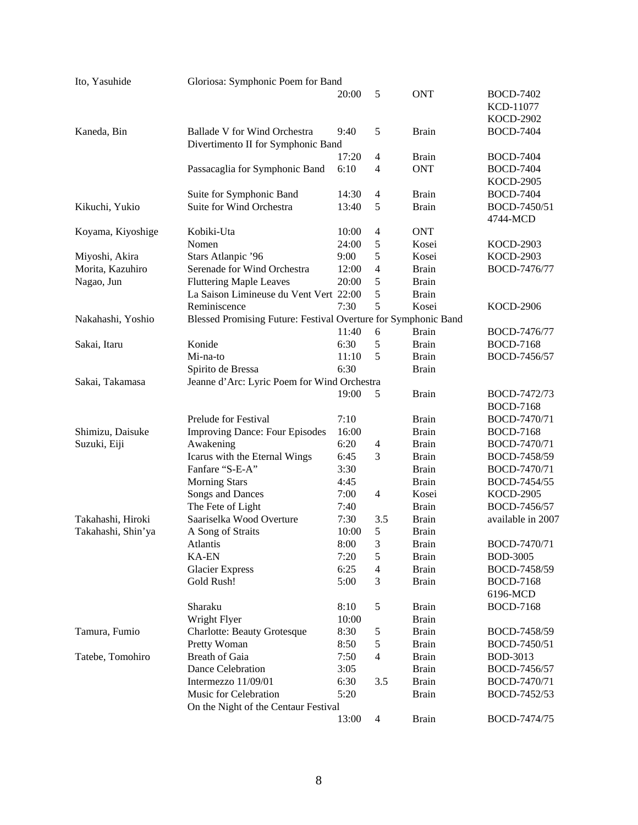| Ito, Yasuhide      | Gloriosa: Symphonic Poem for Band                              |       |                |              |                   |  |  |
|--------------------|----------------------------------------------------------------|-------|----------------|--------------|-------------------|--|--|
|                    |                                                                | 20:00 | 5              | <b>ONT</b>   | <b>BOCD-7402</b>  |  |  |
|                    |                                                                |       |                |              | KCD-11077         |  |  |
|                    |                                                                |       |                |              | <b>KOCD-2902</b>  |  |  |
| Kaneda, Bin        | Ballade V for Wind Orchestra                                   | 9:40  | 5              | <b>Brain</b> | <b>BOCD-7404</b>  |  |  |
|                    | Divertimento II for Symphonic Band                             |       |                |              |                   |  |  |
|                    |                                                                | 17:20 | $\overline{4}$ | <b>Brain</b> | <b>BOCD-7404</b>  |  |  |
|                    | Passacaglia for Symphonic Band                                 | 6:10  | $\overline{4}$ | <b>ONT</b>   | <b>BOCD-7404</b>  |  |  |
|                    |                                                                |       |                |              | <b>KOCD-2905</b>  |  |  |
|                    | Suite for Symphonic Band                                       | 14:30 | $\overline{4}$ | <b>Brain</b> | <b>BOCD-7404</b>  |  |  |
| Kikuchi, Yukio     | Suite for Wind Orchestra                                       | 13:40 | 5              | <b>Brain</b> | BOCD-7450/51      |  |  |
|                    |                                                                |       |                |              | 4744-MCD          |  |  |
| Koyama, Kiyoshige  | Kobiki-Uta                                                     | 10:00 | $\overline{4}$ | <b>ONT</b>   |                   |  |  |
|                    | Nomen                                                          | 24:00 | 5              | Kosei        | <b>KOCD-2903</b>  |  |  |
| Miyoshi, Akira     | Stars Atlanpic '96                                             | 9:00  | 5              | Kosei        | <b>KOCD-2903</b>  |  |  |
| Morita, Kazuhiro   | Serenade for Wind Orchestra                                    | 12:00 | $\overline{4}$ | <b>Brain</b> | BOCD-7476/77      |  |  |
| Nagao, Jun         | <b>Fluttering Maple Leaves</b>                                 | 20:00 | 5              | <b>Brain</b> |                   |  |  |
|                    | La Saison Limineuse du Vent Vert 22:00                         |       | 5              | <b>Brain</b> |                   |  |  |
|                    | Reminiscence                                                   | 7:30  | 5              | Kosei        | <b>KOCD-2906</b>  |  |  |
| Nakahashi, Yoshio  | Blessed Promising Future: Festival Overture for Symphonic Band |       |                |              |                   |  |  |
|                    |                                                                | 11:40 | 6              | <b>Brain</b> | BOCD-7476/77      |  |  |
| Sakai, Itaru       | Konide                                                         | 6:30  | 5              | <b>Brain</b> | <b>BOCD-7168</b>  |  |  |
|                    | Mi-na-to                                                       | 11:10 | 5              | <b>Brain</b> | BOCD-7456/57      |  |  |
|                    | Spirito de Bressa                                              | 6:30  |                | <b>Brain</b> |                   |  |  |
| Sakai, Takamasa    | Jeanne d'Arc: Lyric Poem for Wind Orchestra                    |       |                |              |                   |  |  |
|                    |                                                                | 19:00 | 5              | <b>Brain</b> | BOCD-7472/73      |  |  |
|                    |                                                                |       |                |              | <b>BOCD-7168</b>  |  |  |
|                    | Prelude for Festival                                           | 7:10  |                | <b>Brain</b> | BOCD-7470/71      |  |  |
| Shimizu, Daisuke   | <b>Improving Dance: Four Episodes</b>                          | 16:00 |                | <b>Brain</b> | <b>BOCD-7168</b>  |  |  |
| Suzuki, Eiji       | Awakening                                                      | 6:20  | $\overline{4}$ | <b>Brain</b> | BOCD-7470/71      |  |  |
|                    | Icarus with the Eternal Wings                                  | 6:45  | 3              | <b>Brain</b> | BOCD-7458/59      |  |  |
|                    | Fanfare "S-E-A"                                                | 3:30  |                | <b>Brain</b> | BOCD-7470/71      |  |  |
|                    | <b>Morning Stars</b>                                           | 4:45  |                | <b>Brain</b> | BOCD-7454/55      |  |  |
|                    | Songs and Dances                                               | 7:00  | $\overline{4}$ | Kosei        | <b>KOCD-2905</b>  |  |  |
|                    | The Fete of Light                                              | 7:40  |                | <b>Brain</b> | BOCD-7456/57      |  |  |
| Takahashi, Hiroki  | Saariselka Wood Overture                                       | 7:30  | 3.5            | <b>Brain</b> | available in 2007 |  |  |
| Takahashi, Shin'ya | A Song of Straits                                              | 10:00 | 5              | <b>Brain</b> |                   |  |  |
|                    | Atlantis                                                       | 8:00  | 3              | <b>Brain</b> | BOCD-7470/71      |  |  |
|                    | KA-EN                                                          | 7:20  | 5              | <b>Brain</b> | <b>BOD-3005</b>   |  |  |
|                    | <b>Glacier Express</b>                                         | 6:25  | $\overline{4}$ | <b>Brain</b> | BOCD-7458/59      |  |  |
|                    | Gold Rush!                                                     | 5:00  | 3              | <b>Brain</b> | <b>BOCD-7168</b>  |  |  |
|                    |                                                                |       |                |              | 6196-MCD          |  |  |
|                    | Sharaku                                                        | 8:10  | $\sqrt{5}$     | <b>Brain</b> | <b>BOCD-7168</b>  |  |  |
|                    | Wright Flyer                                                   | 10:00 |                | <b>Brain</b> |                   |  |  |
| Tamura, Fumio      | <b>Charlotte: Beauty Grotesque</b>                             | 8:30  | 5              | <b>Brain</b> | BOCD-7458/59      |  |  |
|                    | Pretty Woman                                                   | 8:50  | $\mathfrak s$  | Brain        | BOCD-7450/51      |  |  |
| Tatebe, Tomohiro   | <b>Breath of Gaia</b>                                          | 7:50  | $\overline{4}$ | <b>Brain</b> | BOD-3013          |  |  |
|                    | Dance Celebration                                              | 3:05  |                | Brain        | BOCD-7456/57      |  |  |
|                    | Intermezzo 11/09/01                                            | 6:30  | 3.5            | Brain        | BOCD-7470/71      |  |  |
|                    | Music for Celebration                                          | 5:20  |                | <b>Brain</b> | BOCD-7452/53      |  |  |
|                    | On the Night of the Centaur Festival                           |       |                |              |                   |  |  |
|                    |                                                                | 13:00 | $\overline{4}$ | <b>Brain</b> | BOCD-7474/75      |  |  |